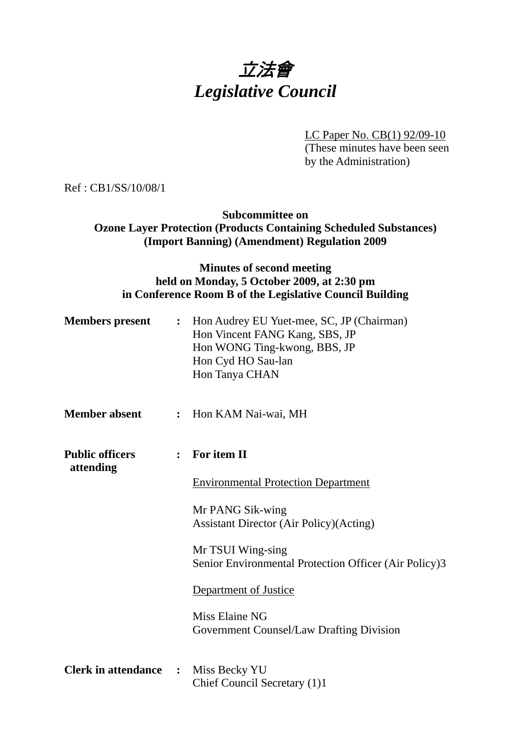# 立法會 *Legislative Council*

LC Paper No. CB(1) 92/09-10 (These minutes have been seen by the Administration)

Ref : CB1/SS/10/08/1

**Subcommittee on Ozone Layer Protection (Products Containing Scheduled Substances) (Import Banning) (Amendment) Regulation 2009** 

# **Minutes of second meeting held on Monday, 5 October 2009, at 2:30 pm in Conference Room B of the Legislative Council Building**

| <b>Members present</b>              |                | : Hon Audrey EU Yuet-mee, SC, JP (Chairman)<br>Hon Vincent FANG Kang, SBS, JP<br>Hon WONG Ting-kwong, BBS, JP<br>Hon Cyd HO Sau-lan<br>Hon Tanya CHAN |
|-------------------------------------|----------------|-------------------------------------------------------------------------------------------------------------------------------------------------------|
| <b>Member absent</b>                |                | : Hon KAM Nai-wai, MH                                                                                                                                 |
| <b>Public officers</b><br>attending |                | For item II<br>$\ddot{\cdot}$                                                                                                                         |
|                                     |                | <b>Environmental Protection Department</b>                                                                                                            |
|                                     |                | Mr PANG Sik-wing<br><b>Assistant Director (Air Policy) (Acting)</b>                                                                                   |
|                                     |                | Mr TSUI Wing-sing<br>Senior Environmental Protection Officer (Air Policy)3                                                                            |
|                                     |                | Department of Justice                                                                                                                                 |
|                                     |                | Miss Elaine NG<br><b>Government Counsel/Law Drafting Division</b>                                                                                     |
| <b>Clerk in attendance</b>          | $\ddot{\cdot}$ | Miss Becky YU<br>Chief Council Secretary (1)1                                                                                                         |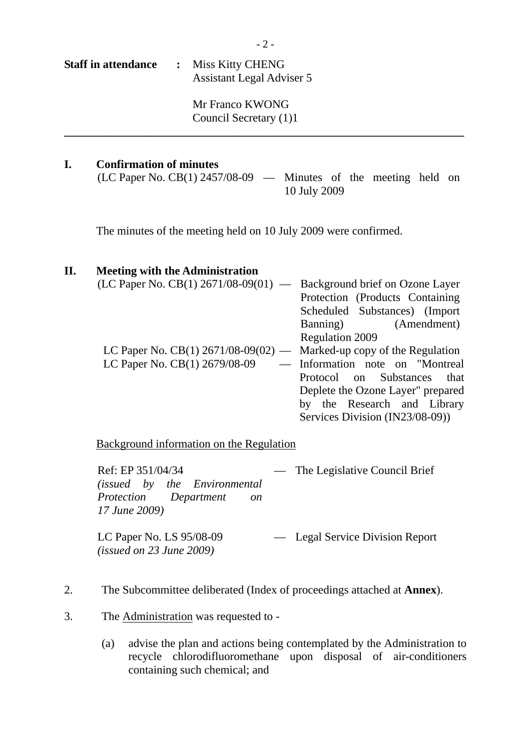| <b>Staff in attendance</b> | : Miss Kitty CHENG        |  |
|----------------------------|---------------------------|--|
|                            | Assistant Legal Adviser 5 |  |
|                            |                           |  |

Mr Franco KWONG Council Secretary (1)1

#### **I. Confirmation of minutes**

(LC Paper No. CB(1) 2457/08-09 — Minutes of the meeting held on 10 July 2009

The minutes of the meeting held on 10 July 2009 were confirmed.

#### **II. Meeting with the Administration**

| (LC Paper No. CB(1) $2671/08-09(01)$ — Background brief on Ozone Layer |                                    |
|------------------------------------------------------------------------|------------------------------------|
|                                                                        | Protection (Products Containing)   |
|                                                                        | Scheduled Substances) (Import      |
|                                                                        | Banning) (Amendment)               |
|                                                                        | <b>Regulation 2009</b>             |
| LC Paper No. $CB(1)$ 2671/08-09(02)                                    | — Marked-up copy of the Regulation |
| LC Paper No. CB(1) 2679/08-09                                          | - Information note on "Montreal    |
|                                                                        | Protocol on Substances that        |
|                                                                        | Deplete the Ozone Layer" prepared  |
|                                                                        | by the Research and Library        |
|                                                                        | Services Division (IN23/08-09))    |

Background information on the Regulation

Ref: EP 351/04/34 *(issued by the Environmental Protection Department on 17 June 2009)*  — The Legislative Council Brief

LC Paper No. LS 95/08-09 *(issued on 23 June 2009)*  — Legal Service Division Report

- 2. The Subcommittee deliberated (Index of proceedings attached at **Annex**).
- 3. The Administration was requested to
	- (a) advise the plan and actions being contemplated by the Administration to recycle chlorodifluoromethane upon disposal of air-conditioners containing such chemical; and

**\_\_\_\_\_\_\_\_\_\_\_\_\_\_\_\_\_\_\_\_\_\_\_\_\_\_\_\_\_\_\_\_\_\_\_\_\_\_\_\_\_\_\_\_\_\_\_\_\_\_\_\_\_\_\_\_\_\_\_\_\_\_\_\_\_\_\_\_\_**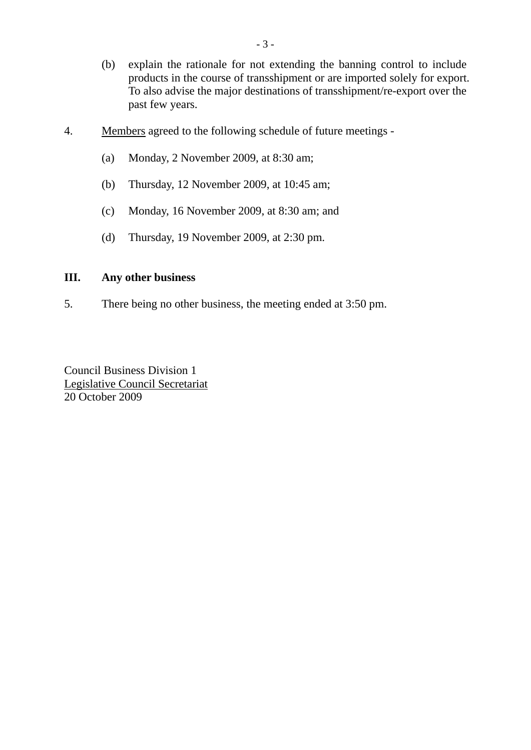- (b) explain the rationale for not extending the banning control to include products in the course of transshipment or are imported solely for export. To also advise the major destinations of transshipment/re-export over the past few years.
- 4. Members agreed to the following schedule of future meetings
	- (a) Monday, 2 November 2009, at 8:30 am;
	- (b) Thursday, 12 November 2009, at 10:45 am;
	- (c) Monday, 16 November 2009, at 8:30 am; and
	- (d) Thursday, 19 November 2009, at 2:30 pm.

### **III. Any other business**

5. There being no other business, the meeting ended at 3:50 pm.

Council Business Division 1 Legislative Council Secretariat 20 October 2009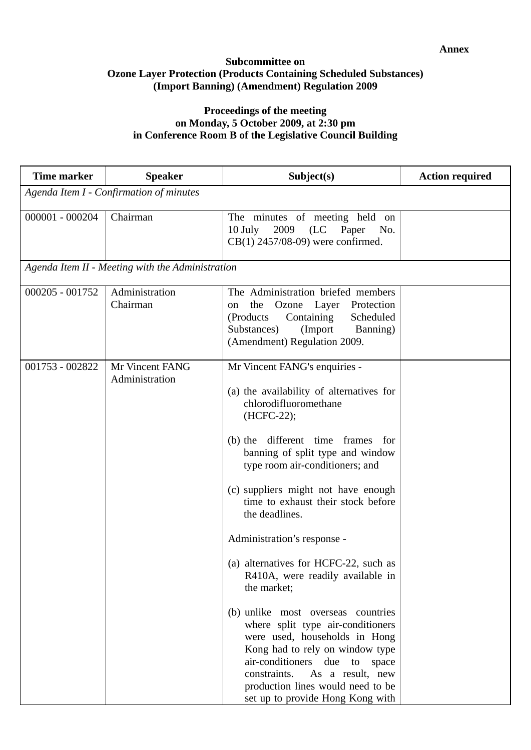#### **Subcommittee on Ozone Layer Protection (Products Containing Scheduled Substances) (Import Banning) (Amendment) Regulation 2009**

## **Proceedings of the meeting on Monday, 5 October 2009, at 2:30 pm in Conference Room B of the Legislative Council Building**

| <b>Time marker</b>                      | <b>Speaker</b>                                   | Subject(s)                                                                                                                                                                                                                                                                                                                                                                                                                                                                                                                                                                                                                                                                                                                                                | <b>Action required</b> |  |
|-----------------------------------------|--------------------------------------------------|-----------------------------------------------------------------------------------------------------------------------------------------------------------------------------------------------------------------------------------------------------------------------------------------------------------------------------------------------------------------------------------------------------------------------------------------------------------------------------------------------------------------------------------------------------------------------------------------------------------------------------------------------------------------------------------------------------------------------------------------------------------|------------------------|--|
| Agenda Item I - Confirmation of minutes |                                                  |                                                                                                                                                                                                                                                                                                                                                                                                                                                                                                                                                                                                                                                                                                                                                           |                        |  |
| $000001 - 000204$                       | Chairman                                         | The minutes of meeting held on<br>2009<br>(LC)<br>Paper<br>$10$ July<br>No.<br>$CB(1)$ 2457/08-09) were confirmed.                                                                                                                                                                                                                                                                                                                                                                                                                                                                                                                                                                                                                                        |                        |  |
|                                         | Agenda Item II - Meeting with the Administration |                                                                                                                                                                                                                                                                                                                                                                                                                                                                                                                                                                                                                                                                                                                                                           |                        |  |
| 000205 - 001752                         | Administration<br>Chairman                       | The Administration briefed members<br>Ozone Layer<br>Protection<br>the<br>on<br>Containing<br>Scheduled<br>(Products)<br>Substances)<br>(Import<br>Banning)<br>(Amendment) Regulation 2009.                                                                                                                                                                                                                                                                                                                                                                                                                                                                                                                                                               |                        |  |
| 001753 - 002822                         | Mr Vincent FANG<br>Administration                | Mr Vincent FANG's enquiries -<br>(a) the availability of alternatives for<br>chlorodifluoromethane<br>(HCFC-22);<br>(b) the different time frames<br>for<br>banning of split type and window<br>type room air-conditioners; and<br>(c) suppliers might not have enough<br>time to exhaust their stock before<br>the deadlines.<br>Administration's response -<br>(a) alternatives for HCFC-22, such as<br>R410A, were readily available in<br>the market;<br>(b) unlike most overseas countries<br>where split type air-conditioners<br>were used, households in Hong<br>Kong had to rely on window type<br>air-conditioners due to<br>space<br>constraints.<br>As a result, new<br>production lines would need to be<br>set up to provide Hong Kong with |                        |  |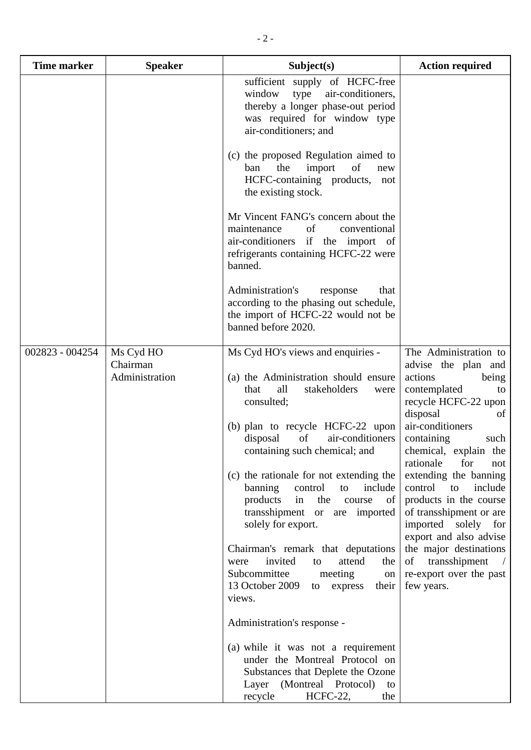| <b>Time marker</b> | <b>Speaker</b>                          | Subject(s)                                                                                                                                                                                                                                                                                                                                                                                                                                                                                                                                                                                                                                                                 | <b>Action required</b>                                                                                                                                                                                                                                                                                                                                                                                                                                                              |
|--------------------|-----------------------------------------|----------------------------------------------------------------------------------------------------------------------------------------------------------------------------------------------------------------------------------------------------------------------------------------------------------------------------------------------------------------------------------------------------------------------------------------------------------------------------------------------------------------------------------------------------------------------------------------------------------------------------------------------------------------------------|-------------------------------------------------------------------------------------------------------------------------------------------------------------------------------------------------------------------------------------------------------------------------------------------------------------------------------------------------------------------------------------------------------------------------------------------------------------------------------------|
|                    |                                         | sufficient supply of HCFC-free<br>type<br>window<br>air-conditioners,<br>thereby a longer phase-out period<br>was required for window type<br>air-conditioners; and                                                                                                                                                                                                                                                                                                                                                                                                                                                                                                        |                                                                                                                                                                                                                                                                                                                                                                                                                                                                                     |
|                    |                                         | (c) the proposed Regulation aimed to<br>ban<br>the<br>of<br>import<br>new<br>HCFC-containing products,<br>not<br>the existing stock.                                                                                                                                                                                                                                                                                                                                                                                                                                                                                                                                       |                                                                                                                                                                                                                                                                                                                                                                                                                                                                                     |
|                    |                                         | Mr Vincent FANG's concern about the<br>maintenance<br>of<br>conventional<br>air-conditioners if the import of<br>refrigerants containing HCFC-22 were<br>banned.                                                                                                                                                                                                                                                                                                                                                                                                                                                                                                           |                                                                                                                                                                                                                                                                                                                                                                                                                                                                                     |
|                    |                                         | Administration's<br>response<br>that<br>according to the phasing out schedule,<br>the import of HCFC-22 would not be<br>banned before 2020.                                                                                                                                                                                                                                                                                                                                                                                                                                                                                                                                |                                                                                                                                                                                                                                                                                                                                                                                                                                                                                     |
| 002823 - 004254    | Ms Cyd HO<br>Chairman<br>Administration | Ms Cyd HO's views and enquiries -<br>(a) the Administration should ensure<br>all<br>stakeholders<br>that<br>were<br>consulted;<br>(b) plan to recycle HCFC-22 upon<br>of<br>air-conditioners<br>disposal<br>containing such chemical; and<br>(c) the rationale for not extending the<br>banning<br>control<br>include<br>to<br>the<br>products<br>of<br>in<br>course<br>transshipment or are imported<br>solely for export.<br>Chairman's remark that deputations<br>invited<br>attend<br>to<br>the<br>were<br>Subcommittee<br>meeting<br>on<br>13 October 2009<br>express<br>their  <br>to<br>views.<br>Administration's response -<br>(a) while it was not a requirement | The Administration to<br>advise the plan and<br>actions<br>being<br>contemplated<br>to<br>recycle HCFC-22 upon<br>disposal<br>of<br>air-conditioners<br>containing<br>such<br>chemical, explain the<br>for<br>rationale<br>not<br>extending the banning<br>control<br>to<br>include<br>products in the course<br>of transshipment or are<br>imported solely for<br>export and also advise<br>the major destinations<br>of<br>transshipment<br>re-export over the past<br>few years. |
|                    |                                         | under the Montreal Protocol on<br>Substances that Deplete the Ozone<br>Layer (Montreal Protocol)<br>to<br>recycle<br>HCFC-22,<br>the                                                                                                                                                                                                                                                                                                                                                                                                                                                                                                                                       |                                                                                                                                                                                                                                                                                                                                                                                                                                                                                     |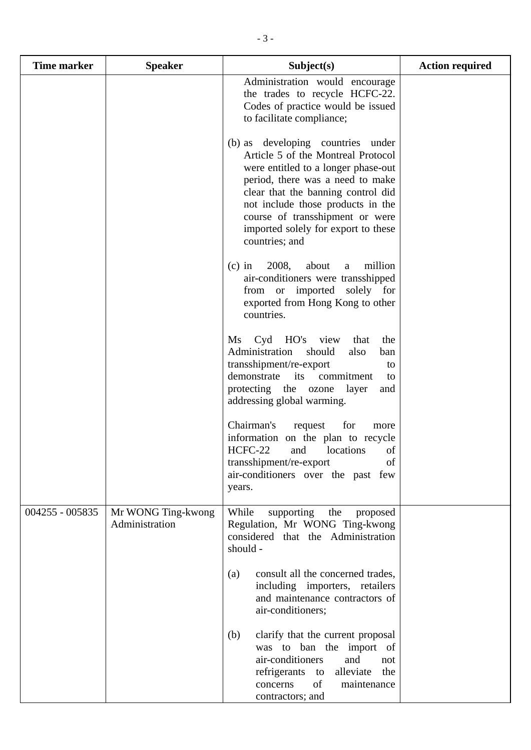| <b>Time marker</b> | <b>Speaker</b>                       | Subject(s)                                                                                                                                                                                                                                                                                                                | <b>Action required</b> |
|--------------------|--------------------------------------|---------------------------------------------------------------------------------------------------------------------------------------------------------------------------------------------------------------------------------------------------------------------------------------------------------------------------|------------------------|
|                    |                                      | Administration would encourage<br>the trades to recycle HCFC-22.<br>Codes of practice would be issued<br>to facilitate compliance;                                                                                                                                                                                        |                        |
|                    |                                      | (b) as developing countries under<br>Article 5 of the Montreal Protocol<br>were entitled to a longer phase-out<br>period, there was a need to make<br>clear that the banning control did<br>not include those products in the<br>course of transshipment or were<br>imported solely for export to these<br>countries; and |                        |
|                    |                                      | 2008,<br>about<br>million<br>$(c)$ in<br>a<br>air-conditioners were transshipped<br>from or imported<br>solely for<br>exported from Hong Kong to other<br>countries.                                                                                                                                                      |                        |
|                    |                                      | Cyd HO's view<br>$\overline{\text{Ms}}$<br>that<br>the<br>Administration<br>should<br>also<br>ban<br>transshipment/re-export<br>to<br>demonstrate<br>its<br>commitment<br>to<br>protecting the ozone<br>layer<br>and<br>addressing global warming.                                                                        |                        |
|                    |                                      | Chairman's<br>request<br>for<br>more<br>information on the plan to recycle<br>HCFC-22<br>of<br>and<br>locations<br>transshipment/re-export<br>of<br>air-conditioners over the past few<br>years.                                                                                                                          |                        |
| 004255 - 005835    | Mr WONG Ting-kwong<br>Administration | While<br>supporting<br>the<br>proposed<br>Regulation, Mr WONG Ting-kwong<br>considered that the Administration<br>should -                                                                                                                                                                                                |                        |
|                    |                                      | consult all the concerned trades,<br>(a)<br>including importers, retailers<br>and maintenance contractors of<br>air-conditioners;                                                                                                                                                                                         |                        |
|                    |                                      | clarify that the current proposal<br>(b)<br>was to ban the import of<br>air-conditioners<br>and<br>not<br>refrigerants to<br>alleviate<br>the<br>of<br>concerns<br>maintenance<br>contractors; and                                                                                                                        |                        |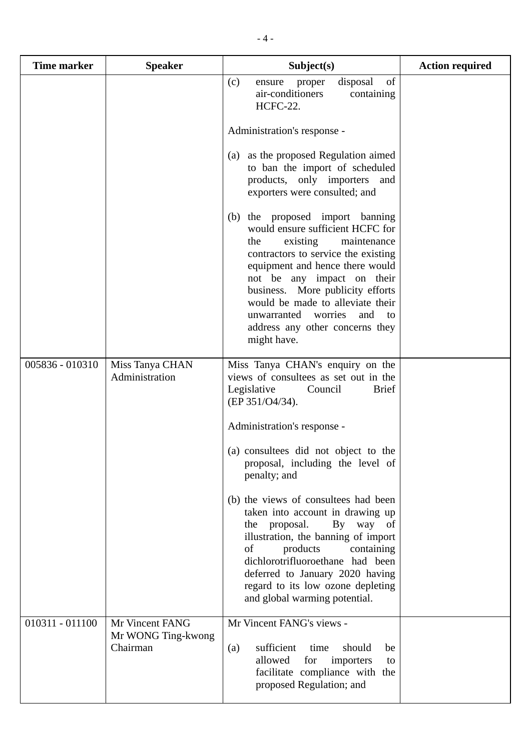| <b>Time marker</b> | <b>Speaker</b>                                    | Subject(s)                                                                                                                                                                                                                                                                                                                                                                     | <b>Action required</b> |
|--------------------|---------------------------------------------------|--------------------------------------------------------------------------------------------------------------------------------------------------------------------------------------------------------------------------------------------------------------------------------------------------------------------------------------------------------------------------------|------------------------|
|                    |                                                   | of<br>disposal<br>(c)<br>ensure<br>proper<br>air-conditioners<br>containing<br>HCFC-22.                                                                                                                                                                                                                                                                                        |                        |
|                    |                                                   | Administration's response -                                                                                                                                                                                                                                                                                                                                                    |                        |
|                    |                                                   | as the proposed Regulation aimed<br>(a)<br>to ban the import of scheduled<br>products, only importers<br>and<br>exporters were consulted; and                                                                                                                                                                                                                                  |                        |
|                    |                                                   | the proposed import banning<br>(b)<br>would ensure sufficient HCFC for<br>existing<br>maintenance<br>the<br>contractors to service the existing<br>equipment and hence there would<br>not be any impact on their<br>business. More publicity efforts<br>would be made to alleviate their<br>unwarranted worries<br>and<br>to<br>address any other concerns they<br>might have. |                        |
| 005836 - 010310    | Miss Tanya CHAN<br>Administration                 | Miss Tanya CHAN's enquiry on the<br>views of consultees as set out in the<br>Legislative<br><b>Brief</b><br>Council<br>(EP 351/O4/34).                                                                                                                                                                                                                                         |                        |
|                    |                                                   | Administration's response -                                                                                                                                                                                                                                                                                                                                                    |                        |
|                    |                                                   | (a) consultees did not object to the<br>proposal, including the level of<br>penalty; and                                                                                                                                                                                                                                                                                       |                        |
|                    |                                                   | (b) the views of consultees had been<br>taken into account in drawing up<br>the proposal.<br>By way of<br>illustration, the banning of import<br>products<br>containing<br>of<br>dichlorotrifluoroethane had been<br>deferred to January 2020 having<br>regard to its low ozone depleting<br>and global warming potential.                                                     |                        |
| 010311 - 011100    | Mr Vincent FANG<br>Mr WONG Ting-kwong<br>Chairman | Mr Vincent FANG's views -<br>sufficient<br>should<br>time<br>(a)<br>be<br>allowed<br>for<br>importers<br>to<br>facilitate compliance with the<br>proposed Regulation; and                                                                                                                                                                                                      |                        |